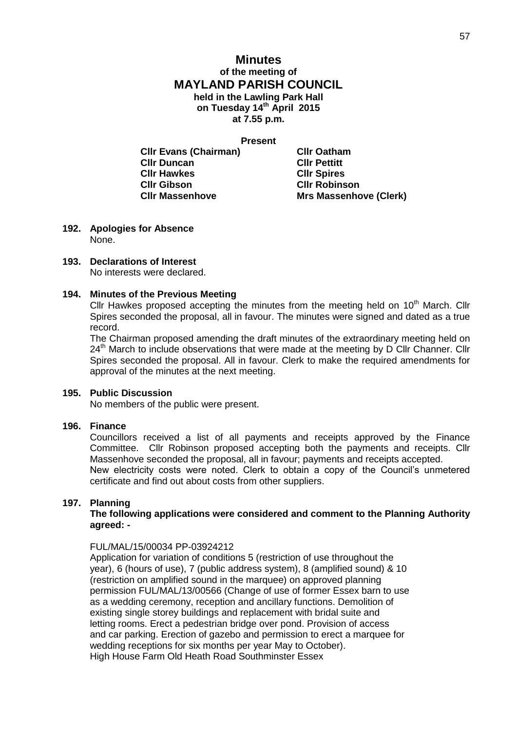# **Minutes of the meeting of MAYLAND PARISH COUNCIL held in the Lawling Park Hall on Tuesday 14th April 2015 at 7.55 p.m.**

**Present**

| <b>CIIr Evans (Chairman)</b> | <b>CIIr Oatham</b>            |
|------------------------------|-------------------------------|
| <b>CIIr Duncan</b>           | <b>CIIr Pettitt</b>           |
| <b>CIIr Hawkes</b>           | <b>CIIr Spires</b>            |
| <b>CIIr Gibson</b>           | <b>CIIr Robinson</b>          |
| <b>CIIr Massenhove</b>       | <b>Mrs Massenhove (Clerk)</b> |

- **192. Apologies for Absence** None.
- **193. Declarations of Interest** No interests were declared.

# **194. Minutes of the Previous Meeting**

Cllr Hawkes proposed accepting the minutes from the meeting held on  $10<sup>th</sup>$  March. Cllr Spires seconded the proposal, all in favour. The minutes were signed and dated as a true record.

The Chairman proposed amending the draft minutes of the extraordinary meeting held on 24<sup>th</sup> March to include observations that were made at the meeting by D Cllr Channer. Cllr Spires seconded the proposal. All in favour. Clerk to make the required amendments for approval of the minutes at the next meeting.

# **195. Public Discussion**

No members of the public were present.

# **196. Finance**

Councillors received a list of all payments and receipts approved by the Finance Committee. Cllr Robinson proposed accepting both the payments and receipts. Cllr Massenhove seconded the proposal, all in favour; payments and receipts accepted. New electricity costs were noted. Clerk to obtain a copy of the Council's unmetered certificate and find out about costs from other suppliers.

# **197. Planning**

# **The following applications were considered and comment to the Planning Authority agreed: -**

# FUL/MAL/15/00034 PP-03924212

Application for variation of conditions 5 (restriction of use throughout the year), 6 (hours of use), 7 (public address system), 8 (amplified sound) & 10 (restriction on amplified sound in the marquee) on approved planning permission FUL/MAL/13/00566 (Change of use of former Essex barn to use as a wedding ceremony, reception and ancillary functions. Demolition of existing single storey buildings and replacement with bridal suite and letting rooms. Erect a pedestrian bridge over pond. Provision of access and car parking. Erection of gazebo and permission to erect a marquee for wedding receptions for six months per year May to October). High House Farm Old Heath Road Southminster Essex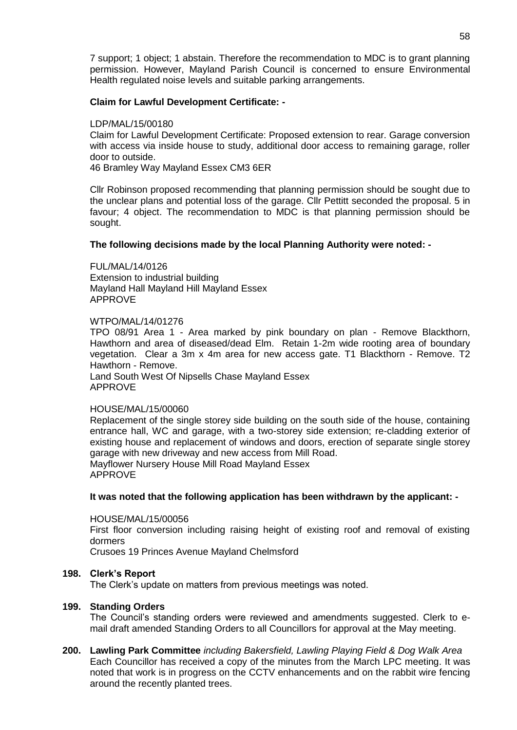7 support; 1 object; 1 abstain. Therefore the recommendation to MDC is to grant planning permission. However, Mayland Parish Council is concerned to ensure Environmental Health regulated noise levels and suitable parking arrangements.

## **Claim for Lawful Development Certificate: -**

### LDP/MAL/15/00180

Claim for Lawful Development Certificate: Proposed extension to rear. Garage conversion with access via inside house to study, additional door access to remaining garage, roller door to outside.

46 Bramley Way Mayland Essex CM3 6ER

Cllr Robinson proposed recommending that planning permission should be sought due to the unclear plans and potential loss of the garage. Cllr Pettitt seconded the proposal. 5 in favour; 4 object. The recommendation to MDC is that planning permission should be sought.

### **The following decisions made by the local Planning Authority were noted: -**

FUL/MAL/14/0126 Extension to industrial building Mayland Hall Mayland Hill Mayland Essex APPROVE

#### WTPO/MAL/14/01276

TPO 08/91 Area 1 - Area marked by pink boundary on plan - Remove Blackthorn, Hawthorn and area of diseased/dead Elm. Retain 1-2m wide rooting area of boundary vegetation. Clear a 3m x 4m area for new access gate. T1 Blackthorn - Remove. T2 Hawthorn - Remove.

Land South West Of Nipsells Chase Mayland Essex APPROVE

### HOUSE/MAL/15/00060

Replacement of the single storey side building on the south side of the house, containing entrance hall, WC and garage, with a two-storey side extension; re-cladding exterior of existing house and replacement of windows and doors, erection of separate single storey garage with new driveway and new access from Mill Road. Mayflower Nursery House Mill Road Mayland Essex APPROVE

### **It was noted that the following application has been withdrawn by the applicant: -**

HOUSE/MAL/15/00056 First floor conversion including raising height of existing roof and removal of existing dormers Crusoes 19 Princes Avenue Mayland Chelmsford

## **198. Clerk's Report**

The Clerk's update on matters from previous meetings was noted.

### **199. Standing Orders**

The Council's standing orders were reviewed and amendments suggested. Clerk to email draft amended Standing Orders to all Councillors for approval at the May meeting.

**200. Lawling Park Committee** *including Bakersfield, Lawling Playing Field & Dog Walk Area* Each Councillor has received a copy of the minutes from the March LPC meeting. It was noted that work is in progress on the CCTV enhancements and on the rabbit wire fencing around the recently planted trees.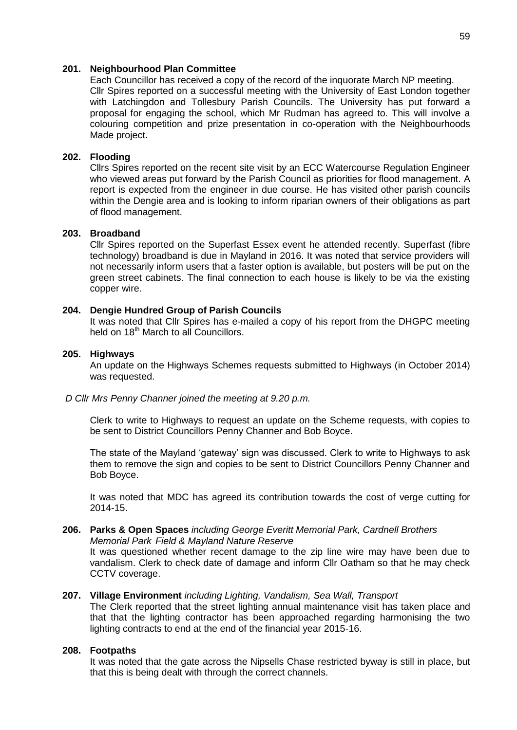#### **201. Neighbourhood Plan Committee**

Each Councillor has received a copy of the record of the inquorate March NP meeting. Cllr Spires reported on a successful meeting with the University of East London together with Latchingdon and Tollesbury Parish Councils. The University has put forward a proposal for engaging the school, which Mr Rudman has agreed to. This will involve a colouring competition and prize presentation in co-operation with the Neighbourhoods Made project.

### **202. Flooding**

Cllrs Spires reported on the recent site visit by an ECC Watercourse Regulation Engineer who viewed areas put forward by the Parish Council as priorities for flood management. A report is expected from the engineer in due course. He has visited other parish councils within the Dengie area and is looking to inform riparian owners of their obligations as part of flood management.

#### **203. Broadband**

Cllr Spires reported on the Superfast Essex event he attended recently. Superfast (fibre technology) broadband is due in Mayland in 2016. It was noted that service providers will not necessarily inform users that a faster option is available, but posters will be put on the green street cabinets. The final connection to each house is likely to be via the existing copper wire.

#### **204. Dengie Hundred Group of Parish Councils**

It was noted that Cllr Spires has e-mailed a copy of his report from the DHGPC meeting held on 18<sup>th</sup> March to all Councillors.

#### **205. Highways**

An update on the Highways Schemes requests submitted to Highways (in October 2014) was requested.

#### *D Cllr Mrs Penny Channer joined the meeting at 9.20 p.m.*

Clerk to write to Highways to request an update on the Scheme requests, with copies to be sent to District Councillors Penny Channer and Bob Boyce.

The state of the Mayland 'gateway' sign was discussed. Clerk to write to Highways to ask them to remove the sign and copies to be sent to District Councillors Penny Channer and Bob Boyce.

It was noted that MDC has agreed its contribution towards the cost of verge cutting for 2014-15.

#### **206. Parks & Open Spaces** *including George Everitt Memorial Park, Cardnell Brothers Memorial Park Field & Mayland Nature Reserve*

It was questioned whether recent damage to the zip line wire may have been due to vandalism. Clerk to check date of damage and inform Cllr Oatham so that he may check CCTV coverage.

### **207. Village Environment** *including Lighting, Vandalism, Sea Wall, Transport*

The Clerk reported that the street lighting annual maintenance visit has taken place and that that the lighting contractor has been approached regarding harmonising the two lighting contracts to end at the end of the financial year 2015-16.

#### **208. Footpaths**

It was noted that the gate across the Nipsells Chase restricted byway is still in place, but that this is being dealt with through the correct channels.